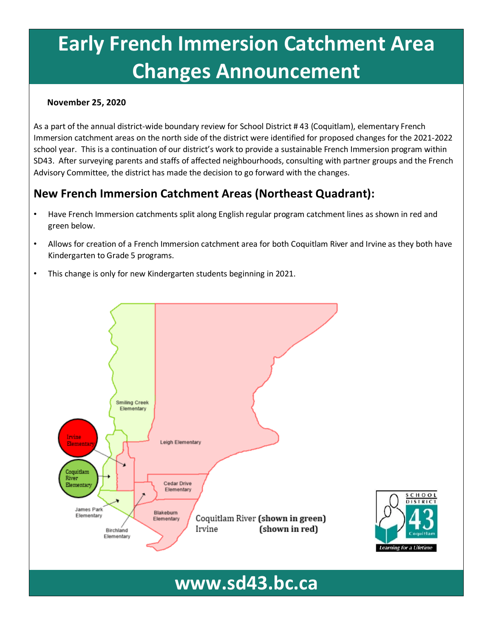# **Early French Immersion Catchment Area Changes Announcement**

#### **November 25, 2020**

As a part of the annual district-wide boundary review for School District # 43 (Coquitlam), elementary French Immersion catchment areas on the north side of the district were identified for proposed changes for the 2021-2022 school year. This is a continuation of our district's work to provide a sustainable French Immersion program within SD43. After surveying parents and staffs of affected neighbourhoods, consulting with partner groups and the French Advisory Committee, the district has made the decision to go forward with the changes.

### **New French Immersion Catchment Areas (Northeast Quadrant):**

- Have French Immersion catchments split along English regular program catchment lines as shown in red and green below.
- Allows for creation of a French Immersion catchment area for both Coquitlam River and Irvine as they both have Kindergarten to Grade 5 programs.
- This change is only for new Kindergarten students beginning in 2021.

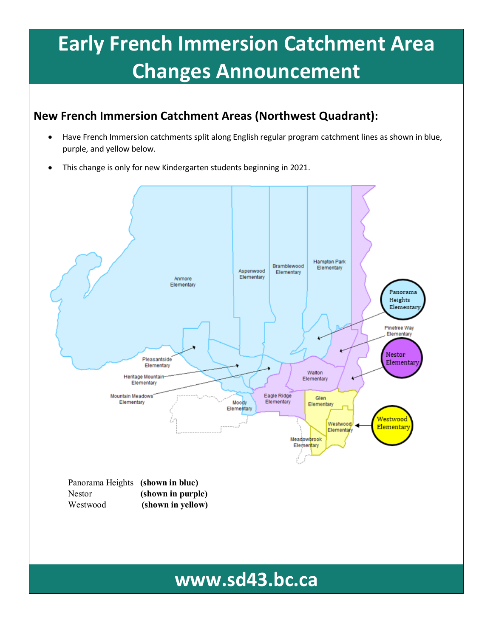# **Early French Immersion Catchment Area Changes Announcement**

### **New French Immersion Catchment Areas (Northwest Quadrant):**

- Have French Immersion catchments split along English regular program catchment lines as shown in blue, purple, and yellow below.
- This change is only for new Kindergarten students beginning in 2021.



| Panorama Heights (snown in Diue) |                   |
|----------------------------------|-------------------|
| <b>Nestor</b>                    | (shown in purple) |
| Westwood                         | (shown in yellow) |

## **www.sd43.bc.ca**